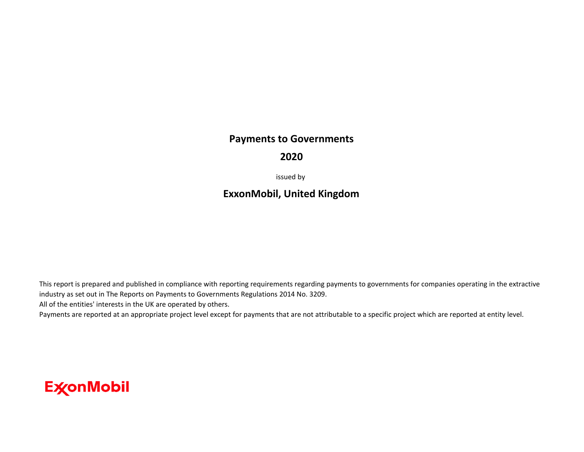## **Payments to Governments**

## **2020**

issued by

## **ExxonMobil, United Kingdom**

This report is prepared and published in compliance with reporting requirements regarding payments to governments for companies operating in the extractive industry as set out in The Reports on Payments to Governments Regulations 2014 No. 3209.

All of the entities' interests in the UK are operated by others.

Payments are reported at an appropriate project level except for payments that are not attributable to a specific project which are reported at entity level.